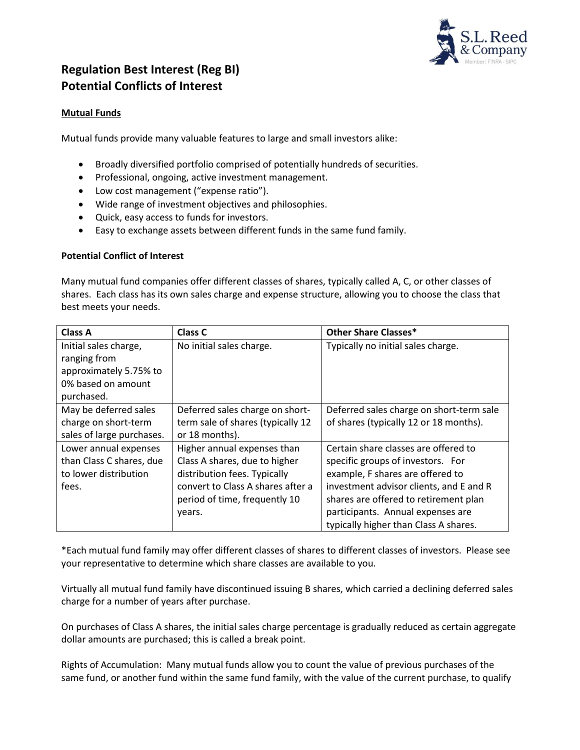

## **Regulation Best Interest (Reg BI) Potential Conflicts of Interest**

## **Mutual Funds**

Mutual funds provide many valuable features to large and small investors alike:

- Broadly diversified portfolio comprised of potentially hundreds of securities.
- Professional, ongoing, active investment management.
- Low cost management ("expense ratio").
- Wide range of investment objectives and philosophies.
- Quick, easy access to funds for investors.
- Easy to exchange assets between different funds in the same fund family.

## **Potential Conflict of Interest**

Many mutual fund companies offer different classes of shares, typically called A, C, or other classes of shares. Each class has its own sales charge and expense structure, allowing you to choose the class that best meets your needs.

| <b>Class A</b>            | Class C                           | <b>Other Share Classes*</b>              |
|---------------------------|-----------------------------------|------------------------------------------|
| Initial sales charge,     | No initial sales charge.          | Typically no initial sales charge.       |
| ranging from              |                                   |                                          |
| approximately 5.75% to    |                                   |                                          |
| 0% based on amount        |                                   |                                          |
| purchased.                |                                   |                                          |
| May be deferred sales     | Deferred sales charge on short-   | Deferred sales charge on short-term sale |
| charge on short-term      | term sale of shares (typically 12 | of shares (typically 12 or 18 months).   |
| sales of large purchases. | or 18 months).                    |                                          |
| Lower annual expenses     | Higher annual expenses than       | Certain share classes are offered to     |
| than Class C shares, due  | Class A shares, due to higher     | specific groups of investors. For        |
| to lower distribution     | distribution fees. Typically      | example, F shares are offered to         |
| fees.                     | convert to Class A shares after a | investment advisor clients, and E and R  |
|                           | period of time, frequently 10     | shares are offered to retirement plan    |
|                           | years.                            | participants. Annual expenses are        |
|                           |                                   | typically higher than Class A shares.    |

\*Each mutual fund family may offer different classes of shares to different classes of investors. Please see your representative to determine which share classes are available to you.

Virtually all mutual fund family have discontinued issuing B shares, which carried a declining deferred sales charge for a number of years after purchase.

On purchases of Class A shares, the initial sales charge percentage is gradually reduced as certain aggregate dollar amounts are purchased; this is called a break point.

Rights of Accumulation: Many mutual funds allow you to count the value of previous purchases of the same fund, or another fund within the same fund family, with the value of the current purchase, to qualify